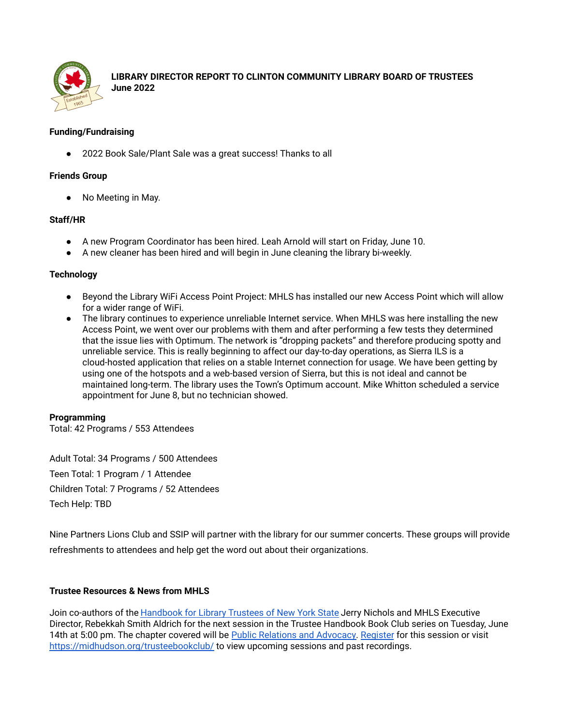

**LIBRARY DIRECTOR REPORT TO CLINTON COMMUNITY LIBRARY BOARD OF TRUSTEES June 2022**

## **Funding/Fundraising**

● 2022 Book Sale/Plant Sale was a great success! Thanks to all

# **Friends Group**

● No Meeting in May.

## **Staff/HR**

- A new Program Coordinator has been hired. Leah Arnold will start on Friday, June 10.
- A new cleaner has been hired and will begin in June cleaning the library bi-weekly.

## **Technology**

- Beyond the Library WiFi Access Point Project: MHLS has installed our new Access Point which will allow for a wider range of WiFi.
- The library continues to experience unreliable Internet service. When MHLS was here installing the new Access Point, we went over our problems with them and after performing a few tests they determined that the issue lies with Optimum. The network is "dropping packets" and therefore producing spotty and unreliable service. This is really beginning to affect our day-to-day operations, as Sierra ILS is a cloud-hosted application that relies on a stable Internet connection for usage. We have been getting by using one of the hotspots and a web-based version of Sierra, but this is not ideal and cannot be maintained long-term. The library uses the Town's Optimum account. Mike Whitton scheduled a service appointment for June 8, but no technician showed.

## **Programming**

Total: 42 Programs / 553 Attendees

Adult Total: 34 Programs / 500 Attendees Teen Total: 1 Program / 1 Attendee Children Total: 7 Programs / 52 Attendees Tech Help: TBD

Nine Partners Lions Club and SSIP will partner with the library for our summer concerts. These groups will provide refreshments to attendees and help get the word out about their organizations.

## **Trustee Resources & News from MHLS**

Join co-authors of the [Handbook](http://www.nysl.nysed.gov/libdev/trustees/handbook/index.html) for Library Trustees of New York State Jerry Nichols and MHLS Executive Director, Rebekkah Smith Aldrich for the next session in the Trustee Handbook Book Club series on Tuesday, June 14th at 5:00 pm. The chapter covered will be Public Relations and [Advocacy.](https://www.nysl.nysed.gov/libdev/trustees/handbook/chapter16.htm) [Register](https://zoom.us/webinar/register/WN_0EUGOkzlQ3uDPK-qjyOXFA) for this session or visit <https://midhudson.org/trusteebookclub/> to view upcoming sessions and past recordings.